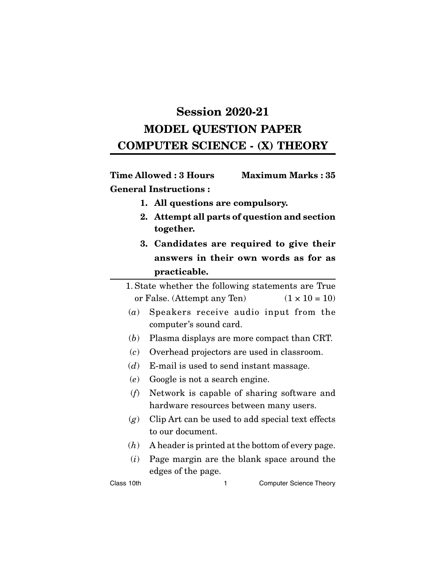# **Session 2020-21 MODEL QUESTION PAPER COMPUTER SCIENCE - (X) THEORY**

**Time Allowed : 3 Hours Maximum Marks : 35 General Instructions :**

- **1. All questions are compulsory.**
- **2. Attempt all parts of question and section together.**
- **3. Candidates are required to give their answers in their own words as for as practicable.**

1. State whether the following statements are True or False. (Attempt any Ten)  $(1 \times 10 = 10)$ 

- (*a*) Speakers receive audio input from the computer's sound card.
- (*b*) Plasma displays are more compact than CRT.
- (*c*) Overhead projectors are used in classroom.
- (*d*) E-mail is used to send instant massage.
- (*e*) Google is not a search engine.
- (*f*) Network is capable of sharing software and hardware resources between many users.
- (*g*) Clip Art can be used to add special text effects to our document.
- (*h*) A header is printed at the bottom of every page.
- (*i*) Page margin are the blank space around the edges of the page.

Class 10th 1 Computer Science Theory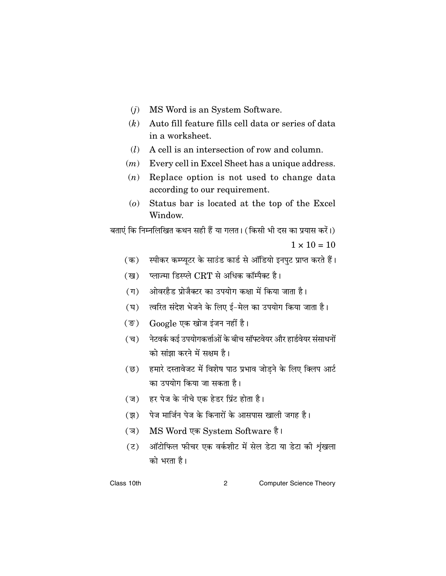- $(j)$  MS Word is an System Software.
- $(k)$  Auto fill feature fills cell data or series of data in a worksheet.
- $(l)$  A cell is an intersection of row and column.
- $(m)$  Every cell in Excel Sheet has a unique address.
- $(n)$  Replace option is not used to change data according to our requirement.
- (o) Status bar is located at the top of the Excel Window.

बताएं कि निम्नलिखित कथन सही हैं या गलत। (किसी भी दस का प्रयास करें।)  $1 \times 10 = 10$ 

- स्पीकर कम्प्यूटर के साउंड कार्ड से ऑडियो इनपुट प्राप्त करते हैं।  $(\overline{a})$
- प्लाज्मा डिस्प्ले CRT से अधिक कॉम्पैक्ट है। (ख)
- (ग) ओवरहैड प्रोजैक्टर का उपयोग कक्षा में किया जाता है।
- (घ) त्वरित संदेश भेजने के लिए ई-मेल का उपयोग किया जाता है।
- (ङ) Google एक खोज इंजन नहीं है।
- नेटवर्क कई उपयोगकर्त्ताओं के बीच सॉफ्टवेयर और हार्डवेयर संसाधनों (च) को सांझा करने में सक्षम है।
- (छ) हमारे दस्तावेजट में विशेष पाठ प्रभाव जोड़ने के लिए क्लिप आर्ट का उपयोग किया जा सकता है।
- (ज) हर पेज के नीचे एक हेडर प्रिंट होता है।
- (झ) पेज मार्जिन पेज के किनारों के आसपास खाली जगह है।
- (ज) MS Word एक System Software है।
- (ट) ऑटोफिल फीचर एक वर्कशीट में सेल डेटा या डेटा की शृंखला को भरता है।

Class 10th  $\overline{2}$ **Computer Science Theory**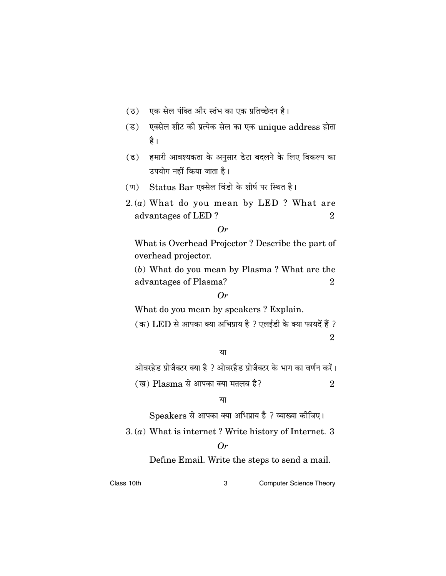- (ठ) एक सेल पंक्ति और स्तंभ का एक प्रतिच्छेदन है।
- (ड) एक्सेल शीट की प्रत्येक सेल का एक unique address होता है ।
- (ढ) हमारी आवश्यकता के अनुसार डेटा बदलने के लिए विकल्प का उपयोग नहीं किया जाता है।
- (ण) Status Bar एक्सेल विंडो के शीर्ष पर स्थित है।
- $2(a)$  What do you mean by LED ? What are advantages of LED?  $\overline{2}$

```
Or
```
What is Overhead Projector? Describe the part of overhead projector.

(b) What do you mean by Plasma? What are the advantages of Plasma?  $\overline{2}$ 

 $Or$ 

What do you mean by speakers? Explain.

(क) LED से आपका क्या अभिप्राय है ? एलईडी के क्या फायदें हैं ?

 $\overline{2}$ 

या

ओवरहेड प्रोजैक्टर क्या है ? ओवरहैड प्रोजैक्टर के भाग का वर्णन करें।

(ख) Plasma से आपका क्या मतलब है?  $\overline{2}$ 

या

Speakers से आपका क्या अभिप्राय है ? व्याख्या कीजिए।

 $3. (a)$  What is internet? Write history of Internet. 3

# $Or$

Define Email. Write the steps to send a mail.

Class 10th 3

**Computer Science Theory**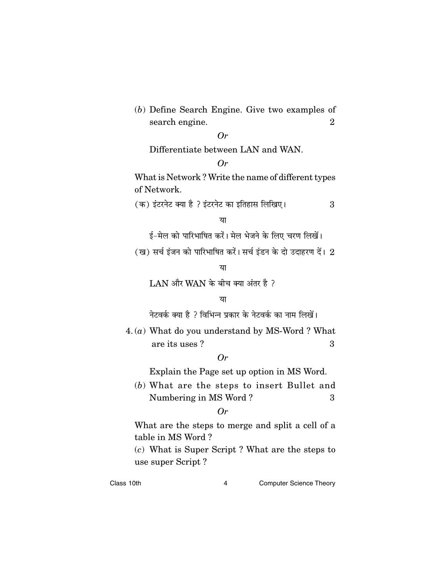(*b*) Define Search Engine. Give two examples of search engine. 2

# *Or*

Differentiate between LAN and WAN.

# *Or*

What is Network ? Write the name of different types of Network.

(क) इंटरनेट क्या है ? इंटरनेट का इतिहास लिखिए।  $3\,$ 

#### या

ई-मेल को पारिभाषित करें। मेल भेजने के लिए चरण लिखें।

(ख) सर्च इंजन को पारिभाषित करें। सर्च इंडन के दो उदाहरण दें।  $2$ 

#### या

 $LAN$  और WAN के बीच क्या अंतर है ?

# या

नेटवर्क क्या है ? विभिन्न प्रकार के नेटवर्क का नाम लिखें।

4. (*a*) What do you understand by MS-Word ? What are its uses ? 3

# *Or*

Explain the Page set up option in MS Word.

(*b*) What are the steps to insert Bullet and Numbering in MS Word? 3

#### *Or*

What are the steps to merge and split a cell of a table in MS Word ?

(*c*) What is Super Script ? What are the steps to use super Script ?

Class 10th **Class 10th 1** Computer Science Theory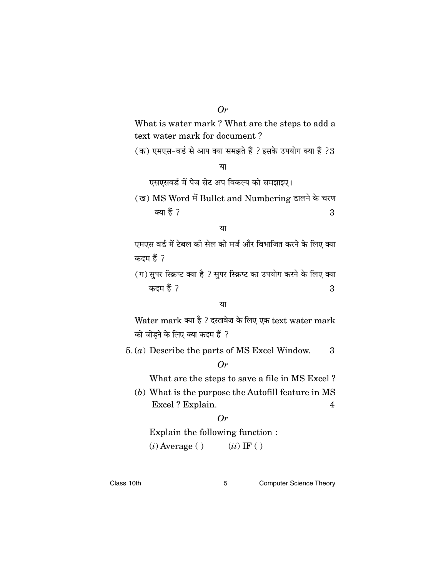$Or$ 

What is water mark? What are the steps to add a text water mark for document?

(क) एमएस-वर्ड से आप क्या समझते हैं ? इसके उपयोग क्या हैं ?3

या

एसएसवर्ड में पेज सेट अप विकल्प को समझाइए।

(ख) MS Word में Bullet and Numbering डालने के चरण क्या हैं ?  $\overline{3}$ 

# या

एमएस वर्ड में टेबल की सेल को मर्ज और विभाजित करने के लिए क्या कदम हैं ?

(ग) सुपर स्क्रिप्ट क्या है ? सुपर स्क्रिप्ट का उपयोग करने के लिए क्या कदम हैं ?  $3\phantom{.0}$ 

या

Water mark क्या है ? दस्तावेज़ के लिए एक text water mark को जोडने के लिए क्या कदम हैं ?

 $5. (a)$  Describe the parts of MS Excel Window. 3

# $Or$

What are the steps to save a file in MS Excel?

 $(b)$  What is the purpose the Autofill feature in MS Excel? Explain.  $\overline{\mathbf{4}}$ 

# $Or$

Explain the following function:  $(i)$  Average ()  $(ii)$  IF ( )

**Computer Science Theory**